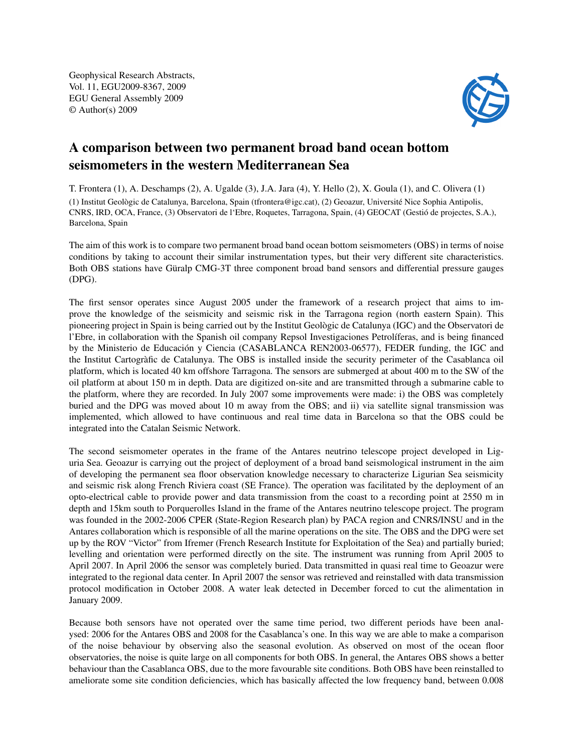Geophysical Research Abstracts, Vol. 11, EGU2009-8367, 2009 EGU General Assembly 2009 © Author(s) 2009



## A comparison between two permanent broad band ocean bottom seismometers in the western Mediterranean Sea

T. Frontera (1), A. Deschamps (2), A. Ugalde (3), J.A. Jara (4), Y. Hello (2), X. Goula (1), and C. Olivera (1) (1) Institut Geològic de Catalunya, Barcelona, Spain (tfrontera@igc.cat), (2) Geoazur, Université Nice Sophia Antipolis, CNRS, IRD, OCA, France, (3) Observatori de l'Ebre, Roquetes, Tarragona, Spain, (4) GEOCAT (Gestió de projectes, S.A.), Barcelona, Spain

The aim of this work is to compare two permanent broad band ocean bottom seismometers (OBS) in terms of noise conditions by taking to account their similar instrumentation types, but their very different site characteristics. Both OBS stations have Güralp CMG-3T three component broad band sensors and differential pressure gauges (DPG).

The first sensor operates since August 2005 under the framework of a research project that aims to improve the knowledge of the seismicity and seismic risk in the Tarragona region (north eastern Spain). This pioneering project in Spain is being carried out by the Institut Geològic de Catalunya (IGC) and the Observatori de l'Ebre, in collaboration with the Spanish oil company Repsol Investigaciones Petrolíferas, and is being financed by the Ministerio de Educación y Ciencia (CASABLANCA REN2003-06577), FEDER funding, the IGC and the Institut Cartogràfic de Catalunya. The OBS is installed inside the security perimeter of the Casablanca oil platform, which is located 40 km offshore Tarragona. The sensors are submerged at about 400 m to the SW of the oil platform at about 150 m in depth. Data are digitized on-site and are transmitted through a submarine cable to the platform, where they are recorded. In July 2007 some improvements were made: i) the OBS was completely buried and the DPG was moved about 10 m away from the OBS; and ii) via satellite signal transmission was implemented, which allowed to have continuous and real time data in Barcelona so that the OBS could be integrated into the Catalan Seismic Network.

The second seismometer operates in the frame of the Antares neutrino telescope project developed in Liguria Sea. Geoazur is carrying out the project of deployment of a broad band seismological instrument in the aim of developing the permanent sea floor observation knowledge necessary to characterize Ligurian Sea seismicity and seismic risk along French Riviera coast (SE France). The operation was facilitated by the deployment of an opto-electrical cable to provide power and data transmission from the coast to a recording point at 2550 m in depth and 15km south to Porquerolles Island in the frame of the Antares neutrino telescope project. The program was founded in the 2002-2006 CPER (State-Region Research plan) by PACA region and CNRS/INSU and in the Antares collaboration which is responsible of all the marine operations on the site. The OBS and the DPG were set up by the ROV "Victor" from Ifremer (French Research Institute for Exploitation of the Sea) and partially buried; levelling and orientation were performed directly on the site. The instrument was running from April 2005 to April 2007. In April 2006 the sensor was completely buried. Data transmitted in quasi real time to Geoazur were integrated to the regional data center. In April 2007 the sensor was retrieved and reinstalled with data transmission protocol modification in October 2008. A water leak detected in December forced to cut the alimentation in January 2009.

Because both sensors have not operated over the same time period, two different periods have been analysed: 2006 for the Antares OBS and 2008 for the Casablanca's one. In this way we are able to make a comparison of the noise behaviour by observing also the seasonal evolution. As observed on most of the ocean floor observatories, the noise is quite large on all components for both OBS. In general, the Antares OBS shows a better behaviour than the Casablanca OBS, due to the more favourable site conditions. Both OBS have been reinstalled to ameliorate some site condition deficiencies, which has basically affected the low frequency band, between 0.008